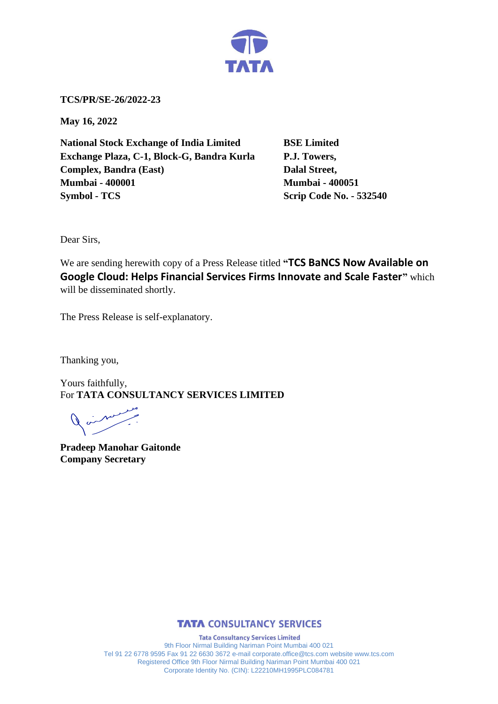

**TCS/PR/SE-26/2022-23**

**May 16, 2022**

**National Stock Exchange of India Limited BSE Limited Exchange Plaza, C-1, Block-G, Bandra Kurla P.J. Towers, Complex, Bandra (East)** Dalal Street, **Mumbai - 400001 Mumbai - 400051 Symbol - TCS Scrip Code No. - 532540** 

Dear Sirs,

We are sending herewith copy of a Press Release titled **"TCS BaNCS Now Available on Google Cloud: Helps Financial Services Firms Innovate and Scale Faster"** which will be disseminated shortly.

The Press Release is self-explanatory.

Thanking you,

Yours faithfully, For **TATA CONSULTANCY SERVICES LIMITED**

**Pradeep Manohar Gaitonde Company Secretary**



**Tata Consultancy Services Limited** 9th Floor Nirmal Building Nariman Point Mumbai 400 021 Tel 91 22 6778 9595 Fax 91 22 6630 3672 e-mail corporate.office@tcs.com website www.tcs.com Registered Office 9th Floor Nirmal Building Nariman Point Mumbai 400 021 Corporate Identity No. (CIN): L22210MH1995PLC084781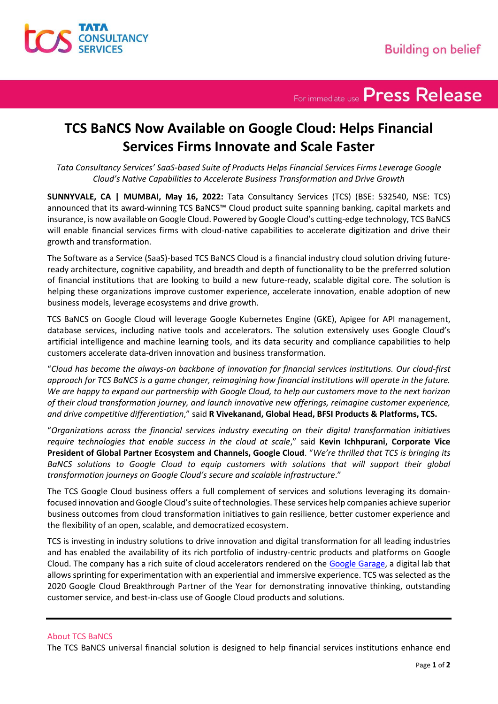

For immediate use Press Release

## **TCS BaNCS Now Available on Google Cloud: Helps Financial Services Firms Innovate and Scale Faster**

*Tata Consultancy Services' SaaS-based Suite of Products Helps Financial Services Firms Leverage Google Cloud's Native Capabilities to Accelerate Business Transformation and Drive Growth*

**SUNNYVALE, CA | MUMBAI, May 16, 2022:** Tata Consultancy Services (TCS) (BSE: 532540, NSE: TCS) announced that its award-winning TCS BaNCS™ Cloud product suite spanning banking, capital markets and insurance, is now available on Google Cloud. Powered by Google Cloud's cutting-edge technology, TCS BaNCS will enable financial services firms with cloud-native capabilities to accelerate digitization and drive their growth and transformation.

The Software as a Service (SaaS)-based TCS BaNCS Cloud is a financial industry cloud solution driving futureready architecture, cognitive capability, and breadth and depth of functionality to be the preferred solution of financial institutions that are looking to build a new future-ready, scalable digital core. The solution is helping these organizations improve customer experience, accelerate innovation, enable adoption of new business models, leverage ecosystems and drive growth.

TCS BaNCS on Google Cloud will leverage Google Kubernetes Engine (GKE), Apigee for API management, database services, including native tools and accelerators. The solution extensively uses Google Cloud's artificial intelligence and machine learning tools, and its data security and compliance capabilities to help customers accelerate data-driven innovation and business transformation.

"*Cloud has become the always-on backbone of innovation for financial services institutions. Our cloud-first approach for TCS BaNCS is a game changer, reimagining how financial institutions will operate in the future. We are happy to expand our partnership with Google Cloud, to help our customers move to the next horizon of their cloud transformation journey, and launch innovative new offerings, reimagine customer experience, and drive competitive differentiation*," said **R Vivekanand, Global Head, BFSI Products & Platforms, TCS.** 

"*Organizations across the financial services industry executing on their digital transformation initiatives require technologies that enable success in the cloud at scale*," said **Kevin Ichhpurani, Corporate Vice President of Global Partner Ecosystem and Channels, Google Cloud**. "*We're thrilled that TCS is bringing its BaNCS solutions to Google Cloud to equip customers with solutions that will support their global transformation journeys on Google Cloud's secure and scalable infrastructure*."

The TCS Google Cloud business offers a full complement of services and solutions leveraging its domainfocused innovation and Google Cloud's suite of technologies. These services help companies achieve superior business outcomes from cloud transformation initiatives to gain resilience, better customer experience and the flexibility of an open, scalable, and democratized ecosystem.

TCS is investing in industry solutions to drive innovation and digital transformation for all leading industries and has enabled the availability of its rich portfolio of industry-centric products and platforms on Google Cloud. The company has a rich suite of cloud accelerators rendered on the [Google Garage,](https://www.tcs.com/tcs-launches-new-google-cloud-garages-enterprise-customers) a digital lab that allows sprinting for experimentation with an experiential and immersive experience. TCS was selected as the 2020 Google Cloud Breakthrough Partner of the Year for demonstrating innovative thinking, outstanding customer service, and best-in-class use of Google Cloud products and solutions.

### About TCS BaNCS

The TCS BaNCS universal financial solution is designed to help financial services institutions enhance end